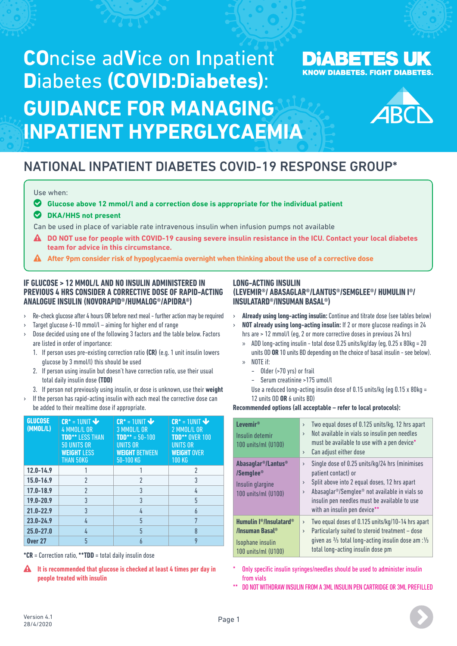# **CO**ncise ad**V**ice on **I**npatient **D**iabetes **(COVID:Diabetes)**: **GUIDANCE FOR MANAGING INPATIENT HYPERGLYCAEMIA**





## NATIONAL INPATIENT DIABETES COVID-19 RESPONSE GROUP\*

#### Use when:

### o **Glucose above 12 mmol/l and a correction dose is appropriate for the individual patient**

#### o **DKA/HHS not present**

Can be used in place of variable rate intravenous insulin when infusion pumps not available

- **DO NOT use for people with COVID-19 causing severe insulin resistance in the ICU. Contact your local diabetes team for advice in this circumstance.**
- **After 9pm consider risk of hypoglycaemia overnight when thinking about the use of a corrective dose**

#### **IF GLUCOSE > 12 MMOL/L AND NO INSULIN ADMINISTERED IN PREVIOUS 4 HRS CONSIDER A CORRECTIVE DOSE OF RAPID-ACTING ANALOGUE INSULIN (NOVORAPID®/HUMALOG®/APIDRA®)**

- › Re-check glucose after 4 hours OR before next meal further action may be required
- Target glucose  $6-10$  mmol/l aiming for higher end of range
- › Dose decided using one of the following 3 factors and the table below. Factors are listed in order of importance:
	- 1. If person uses pre-existing correction ratio **(CR)** (e.g. 1 unit insulin lowers glucose by 3 mmol/l) this should be used
	- 2. If person using insulin but doesn't have correction ratio, use their usual total daily insulin dose **(TDD)**
- 3. If person not previously using insulin, or dose is unknown, use their **weight**
- If the person has rapid-acting insulin with each meal the corrective dose can be added to their mealtime dose if appropriate.

| <b>GLUCOSE</b><br>(MMOL/L) | $CR^* = 1$ UNIT<br>4 MMOL/L OR<br><b>TDD** LESS THAN</b><br>50 UNITS OR<br><b>WEIGHT LESS</b><br><b>THAN 50KG</b> | $CR^* = 1$ UNIT<br>3 MMOL/L OR<br>$TDD*** = 50-100$<br><b>UNITS OR</b><br><b>WEIGHT BETWEEN</b><br>$50-100$ KG | $CR^* = 1$ UNIT<br>2 MMOL/L OR<br><b>TDD** OVER 100</b><br><b>UNITS OR</b><br><b>WEIGHT OVER</b><br><b>100 KG</b> |
|----------------------------|-------------------------------------------------------------------------------------------------------------------|----------------------------------------------------------------------------------------------------------------|-------------------------------------------------------------------------------------------------------------------|
| $12.0 - 14.9$              |                                                                                                                   |                                                                                                                | 2                                                                                                                 |
| 15.0-16.9                  | $\overline{2}$                                                                                                    | $\overline{2}$                                                                                                 | 3                                                                                                                 |
| 17.0-18.9                  | $\overline{\phantom{a}}$                                                                                          | 3                                                                                                              | 4                                                                                                                 |
| 19.0-20.9                  | 3                                                                                                                 | 3                                                                                                              | 5                                                                                                                 |
| $21.0 - 22.9$              | $\overline{3}$                                                                                                    | 4                                                                                                              | $\overline{b}$                                                                                                    |
| $23.0 - 24.9$              | 4                                                                                                                 | 5                                                                                                              | 7                                                                                                                 |
| $25.0 - 27.0$              | 4                                                                                                                 | 5                                                                                                              | 8                                                                                                                 |
| <b>Over 27</b>             | 5                                                                                                                 | h                                                                                                              | 9                                                                                                                 |

**\*CR** = Correction ratio, **\*\*TDD** = total daily insulin dose

**A** It is recommended that glucose is checked at least 4 times per day in **people treated with insulin**

#### **LONG-ACTING INSULIN (LEVEMIR®/ ABASAGLAR®/LANTUS®/SEMGLEE®/ HUMULIN I®/ INSULATARD®/INSUMAN BASAL®)**

- › **Already using long-acting insulin:** Continue and titrate dose (see tables below)
- › **NOT already using long-acting insulin:** If 2 or more glucose readings in 24 hrs are > 12 mmol/l (eg, 2 or more corrective doses in previous 24 hrs)
	- » ADD long-acting insulin total dose 0.25 units/kg/day (eg, 0.25 x 80kg = 20 units OD **OR** 10 units BD depending on the choice of basal insulin - see below). » NOTE if:
		- Older (>70 yrs) or frail
		- Serum creatinine >175 umol/l
		- Use a reduced long-acting insulin dose of 0.15 units/kg (eg 0.15 x 80kg = 12 units OD **OR** 6 units BD)

#### **Recommended options (all acceptable – refer to local protocols):**

| $L$ evemir®<br>Insulin detemir<br>100 units/ml (U100)                                                           | Two equal doses of 0.125 units/kg, 12 hrs apart<br>$\mathbf{\Sigma}$<br>Not available in vials so insulin pen needles<br>$\mathcal{P}$<br>must be available to use with a pen device*<br>Can adjust either dose<br>$\mathbf{\Sigma}$                                                                                               |
|-----------------------------------------------------------------------------------------------------------------|------------------------------------------------------------------------------------------------------------------------------------------------------------------------------------------------------------------------------------------------------------------------------------------------------------------------------------|
| Abasaglar <sup>®</sup> /Lantus <sup>®</sup><br>/Semglee <sup>®</sup><br>Insulin glargine<br>100 units/ml (U100) | Single dose of 0.25 units/kg/24 hrs (minimises<br>$\rightarrow$<br>patient contact) or<br>Split above into 2 equal doses, 12 hrs apart<br>$\rightarrow$<br>Abasaglar <sup>®</sup> /Semglee <sup>®</sup> not available in vials so<br>$\rightarrow$<br>insulin pen needles must be available to use<br>with an insulin pen device** |
| Humulin l <sup>®</sup> /Insulatard <sup>®</sup><br>/Insuman Basal®<br>Isophane insulin<br>100 units/ml (U100)   | Two equal doses of 0.125 units/kg/10-14 hrs apart<br>$\rightarrow$<br>Particularly suited to steroid treatment - dose<br>$\rightarrow$<br>given as $\frac{2}{3}$ total long-acting insulin dose am : $\frac{1}{3}$<br>total long-acting insulin dose pm                                                                            |

Only specific insulin syringes/needles should be used to administer insulin from vials

\*\* DO NOT WITHDRAW INSULIN FROM A 3ML INSULIN PEN CARTRIDGE OR 3ML PREFILLED